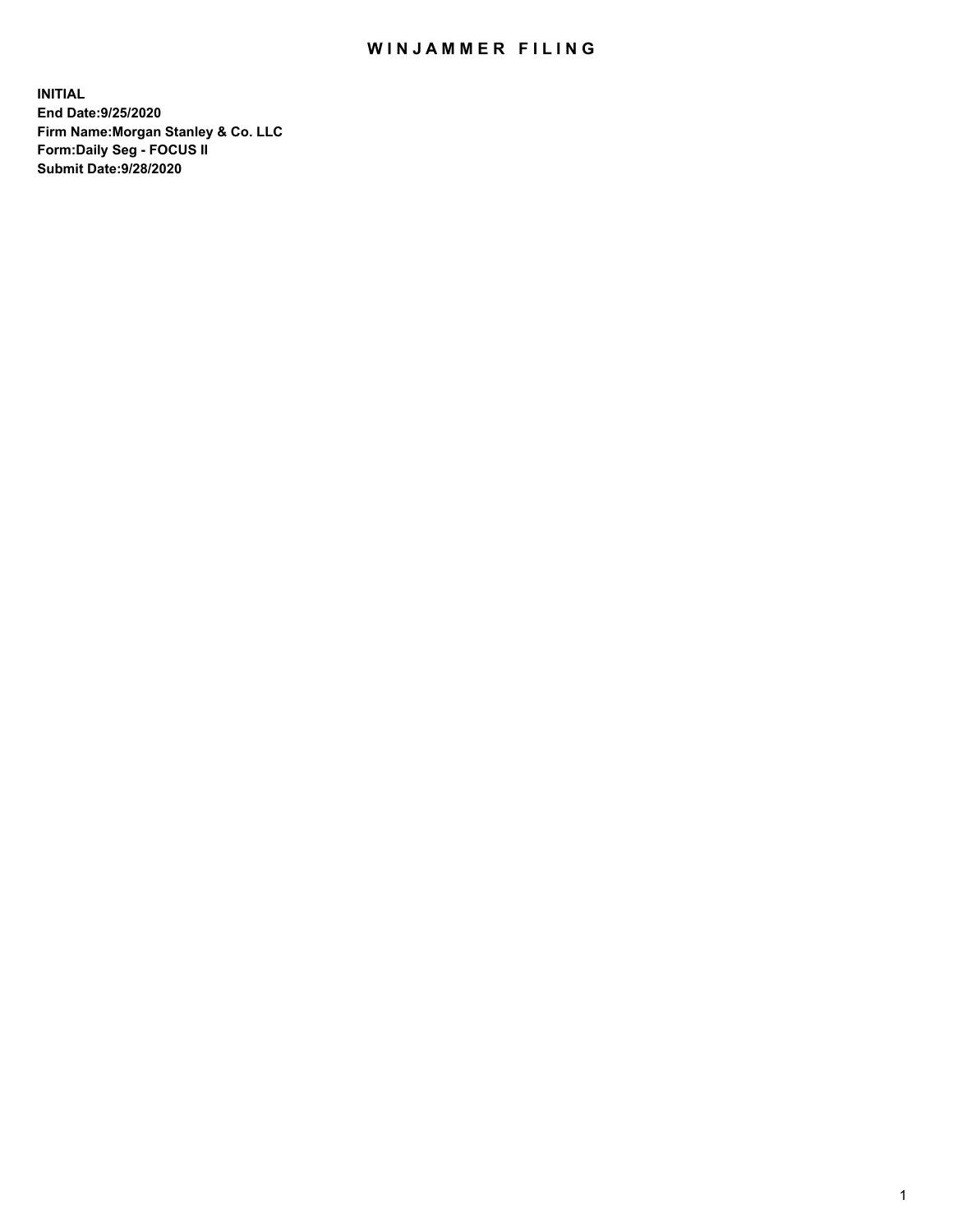## WIN JAMMER FILING

**INITIAL End Date:9/25/2020 Firm Name:Morgan Stanley & Co. LLC Form:Daily Seg - FOCUS II Submit Date:9/28/2020**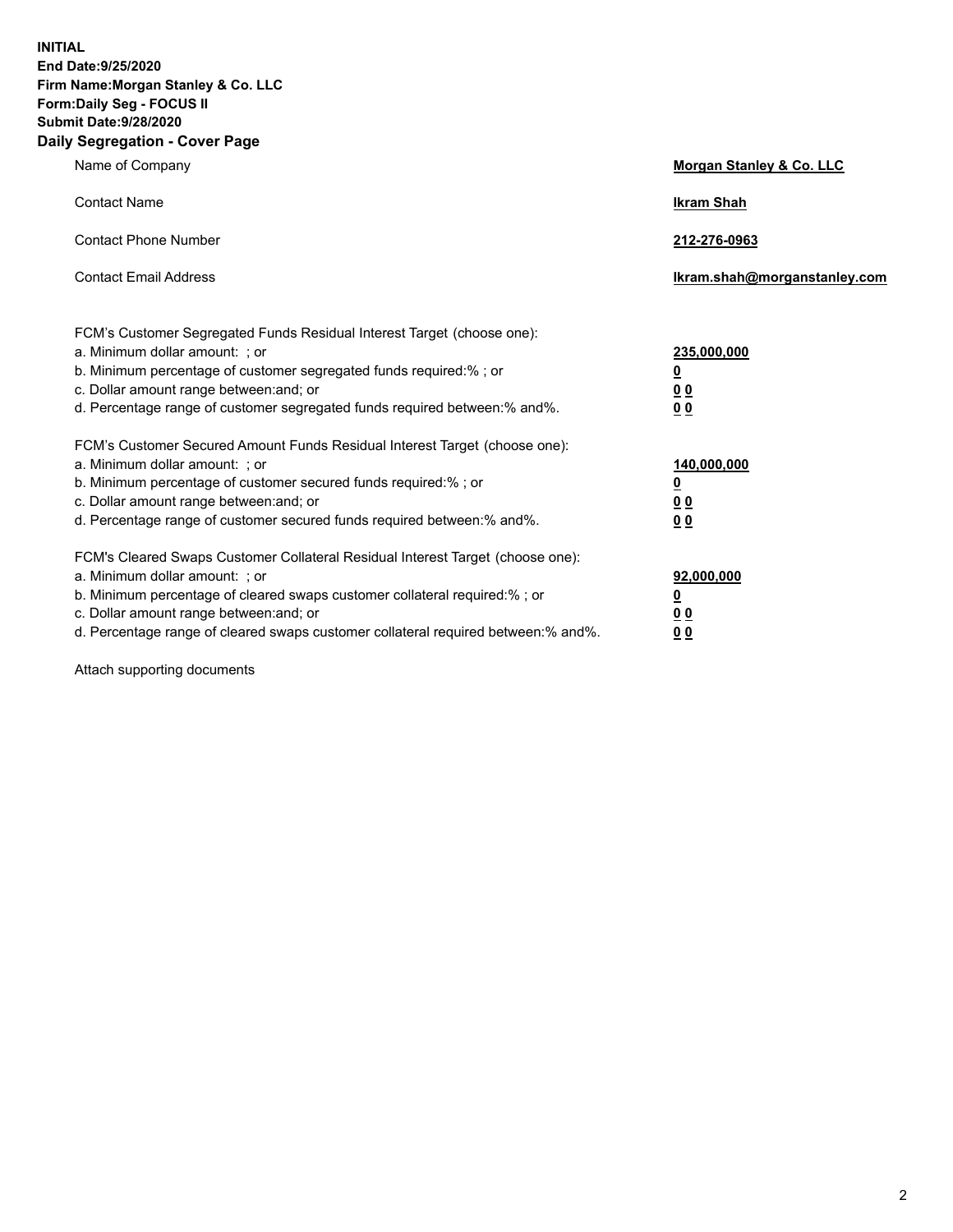**INITIAL End Date:9/25/2020 Firm Name:Morgan Stanley & Co. LLC Form:Daily Seg - FOCUS II Submit Date:9/28/2020 Daily Segregation - Cover Page**

| Name of Company                                                                   | Morgan Stanley & Co. LLC     |
|-----------------------------------------------------------------------------------|------------------------------|
| <b>Contact Name</b>                                                               | <b>Ikram Shah</b>            |
| <b>Contact Phone Number</b>                                                       | 212-276-0963                 |
| <b>Contact Email Address</b>                                                      | Ikram.shah@morganstanley.com |
| FCM's Customer Segregated Funds Residual Interest Target (choose one):            |                              |
| a. Minimum dollar amount: ; or                                                    | 235,000,000                  |
| b. Minimum percentage of customer segregated funds required:%; or                 | <u>0</u>                     |
| c. Dollar amount range between: and; or                                           | 0 <sub>0</sub>               |
| d. Percentage range of customer segregated funds required between: % and %.       | 0 <sub>0</sub>               |
| FCM's Customer Secured Amount Funds Residual Interest Target (choose one):        |                              |
| a. Minimum dollar amount: ; or                                                    | 140,000,000                  |
| b. Minimum percentage of customer secured funds required:%; or                    | <u>0</u>                     |
| c. Dollar amount range between: and; or                                           | 0 <sub>0</sub>               |
| d. Percentage range of customer secured funds required between:% and%.            | 0 <sub>0</sub>               |
| FCM's Cleared Swaps Customer Collateral Residual Interest Target (choose one):    |                              |
| a. Minimum dollar amount: ; or                                                    | 92,000,000                   |
| b. Minimum percentage of cleared swaps customer collateral required:% ; or        | <u>0</u>                     |
| c. Dollar amount range between: and; or                                           | <u>00</u>                    |
| d. Percentage range of cleared swaps customer collateral required between:% and%. | 00                           |

Attach supporting documents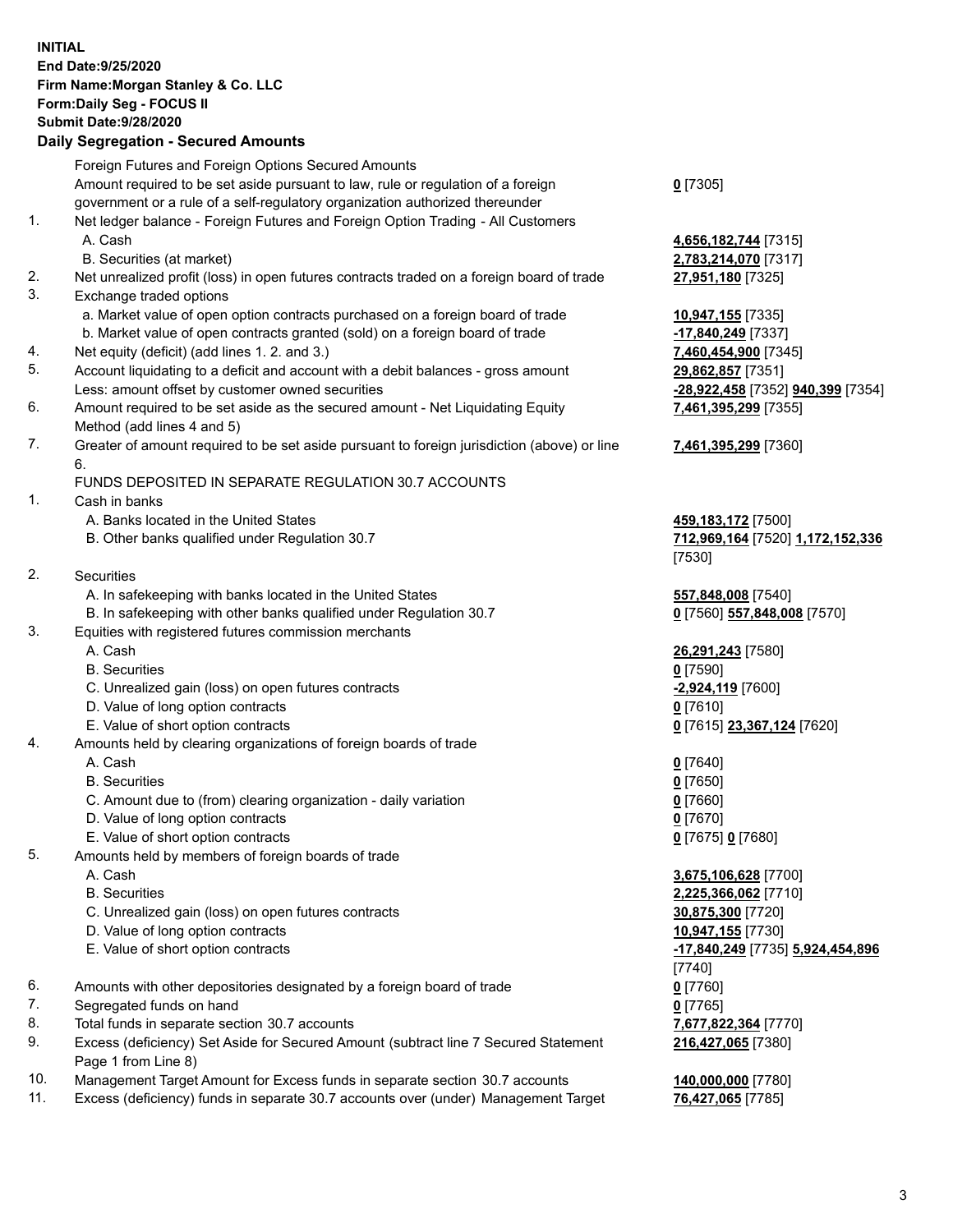## **INITIAL End Date:9/25/2020 Firm Name:Morgan Stanley & Co. LLC Form:Daily Seg - FOCUS II Submit Date:9/28/2020**

## **Daily Segregation - Secured Amounts**

|          | Foreign Futures and Foreign Options Secured Amounts                                                          |                                   |
|----------|--------------------------------------------------------------------------------------------------------------|-----------------------------------|
|          | Amount required to be set aside pursuant to law, rule or regulation of a foreign                             | $0$ [7305]                        |
|          | government or a rule of a self-regulatory organization authorized thereunder                                 |                                   |
| 1.       | Net ledger balance - Foreign Futures and Foreign Option Trading - All Customers                              |                                   |
|          | A. Cash                                                                                                      | 4,656,182,744 [7315]              |
|          | B. Securities (at market)                                                                                    | 2,783,214,070 [7317]              |
| 2.<br>3. | Net unrealized profit (loss) in open futures contracts traded on a foreign board of trade                    | 27,951,180 [7325]                 |
|          | Exchange traded options                                                                                      |                                   |
|          | a. Market value of open option contracts purchased on a foreign board of trade                               | 10,947,155 [7335]                 |
|          | b. Market value of open contracts granted (sold) on a foreign board of trade                                 | -17,840,249 [7337]                |
| 4.<br>5. | Net equity (deficit) (add lines 1.2. and 3.)                                                                 | 7,460,454,900 [7345]              |
|          | Account liquidating to a deficit and account with a debit balances - gross amount                            | 29,862,857 [7351]                 |
| 6.       | Less: amount offset by customer owned securities                                                             | -28,922,458 [7352] 940,399 [7354] |
|          | Amount required to be set aside as the secured amount - Net Liquidating Equity<br>Method (add lines 4 and 5) | 7,461,395,299 [7355]              |
| 7.       | Greater of amount required to be set aside pursuant to foreign jurisdiction (above) or line                  | 7,461,395,299 [7360]              |
|          | 6.                                                                                                           |                                   |
|          | FUNDS DEPOSITED IN SEPARATE REGULATION 30.7 ACCOUNTS                                                         |                                   |
| 1.       | Cash in banks                                                                                                |                                   |
|          | A. Banks located in the United States                                                                        | 459,183,172 [7500]                |
|          | B. Other banks qualified under Regulation 30.7                                                               | 712,969,164 [7520] 1,172,152,336  |
| 2.       |                                                                                                              | [7530]                            |
|          | Securities<br>A. In safekeeping with banks located in the United States                                      |                                   |
|          |                                                                                                              | 557,848,008 [7540]                |
| 3.       | B. In safekeeping with other banks qualified under Regulation 30.7                                           | 0 [7560] 557,848,008 [7570]       |
|          | Equities with registered futures commission merchants<br>A. Cash                                             |                                   |
|          | <b>B.</b> Securities                                                                                         | 26,291,243 [7580]                 |
|          |                                                                                                              | $0$ [7590]                        |
|          | C. Unrealized gain (loss) on open futures contracts<br>D. Value of long option contracts                     | -2,924,119 [7600]<br>$0$ [7610]   |
|          | E. Value of short option contracts                                                                           |                                   |
| 4.       | Amounts held by clearing organizations of foreign boards of trade                                            | 0 [7615] 23,367,124 [7620]        |
|          | A. Cash                                                                                                      | $0$ [7640]                        |
|          | <b>B.</b> Securities                                                                                         | $0$ [7650]                        |
|          | C. Amount due to (from) clearing organization - daily variation                                              | $0$ [7660]                        |
|          | D. Value of long option contracts                                                                            | $0$ [7670]                        |
|          | E. Value of short option contracts                                                                           | 0 [7675] 0 [7680]                 |
| 5.       | Amounts held by members of foreign boards of trade                                                           |                                   |
|          | A. Cash                                                                                                      | 3,675,106,628 [7700]              |
|          | <b>B.</b> Securities                                                                                         | 2,225,366,062 [7710]              |
|          | C. Unrealized gain (loss) on open futures contracts                                                          | 30,875,300 [7720]                 |
|          | D. Value of long option contracts                                                                            | 10,947,155 [7730]                 |
|          | E. Value of short option contracts                                                                           | -17,840,249 [7735] 5,924,454,896  |
|          |                                                                                                              | [7740]                            |
| 6.       | Amounts with other depositories designated by a foreign board of trade                                       | $0$ [7760]                        |
| 7.       | Segregated funds on hand                                                                                     | $0$ [7765]                        |
| 8.       | Total funds in separate section 30.7 accounts                                                                | 7,677,822,364 [7770]              |
| 9.       | Excess (deficiency) Set Aside for Secured Amount (subtract line 7 Secured Statement                          | 216,427,065 [7380]                |
|          | Page 1 from Line 8)                                                                                          |                                   |
| 10.      | Management Target Amount for Excess funds in separate section 30.7 accounts                                  | 140,000,000 [7780]                |

11. Excess (deficiency) funds in separate 30.7 accounts over (under) Management Target **76,427,065** [7785]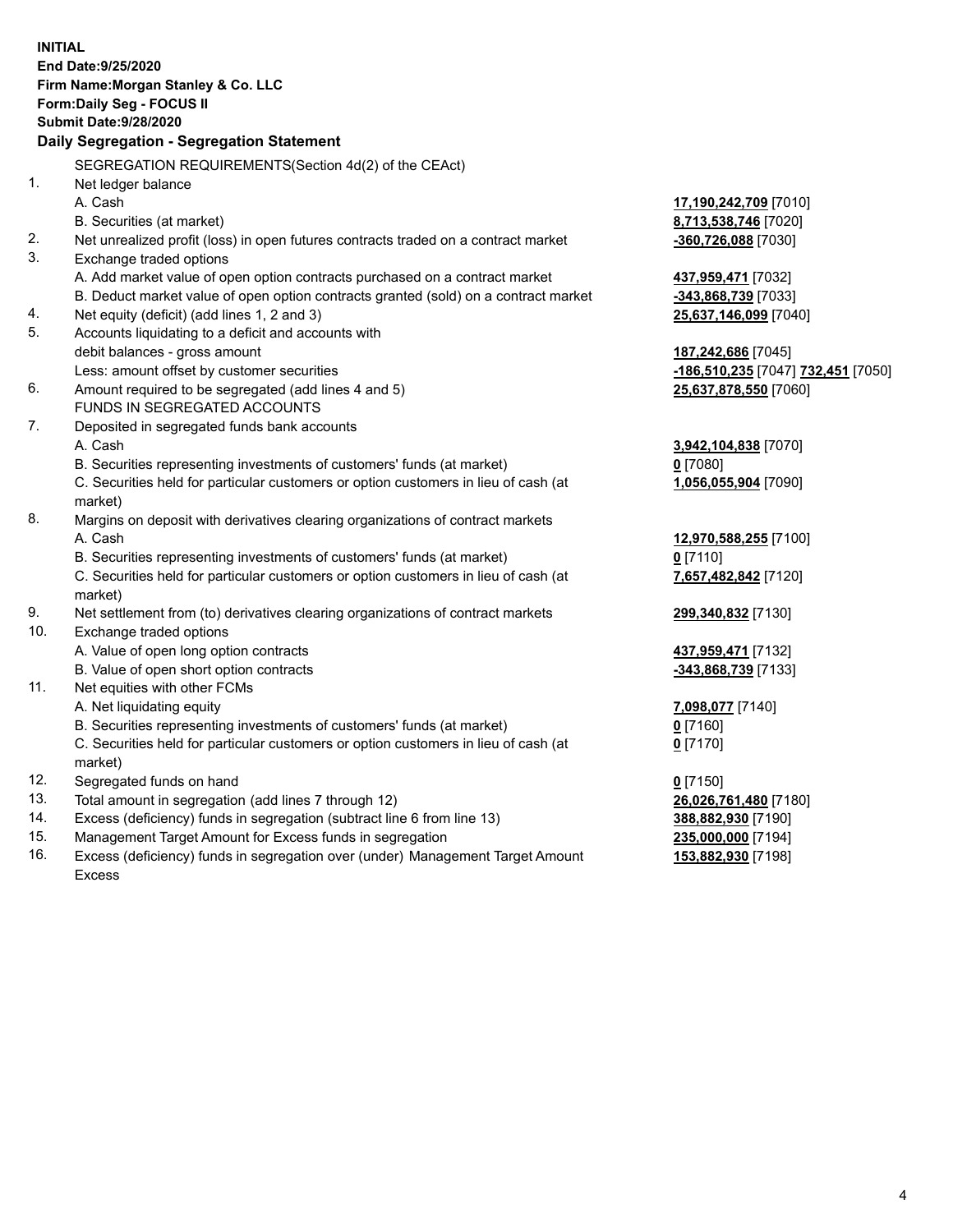|     | <b>INITIAL</b>                                                                      |                                    |
|-----|-------------------------------------------------------------------------------------|------------------------------------|
|     | End Date: 9/25/2020                                                                 |                                    |
|     | Firm Name: Morgan Stanley & Co. LLC                                                 |                                    |
|     | Form: Daily Seg - FOCUS II                                                          |                                    |
|     | <b>Submit Date: 9/28/2020</b>                                                       |                                    |
|     | Daily Segregation - Segregation Statement                                           |                                    |
|     | SEGREGATION REQUIREMENTS(Section 4d(2) of the CEAct)                                |                                    |
| 1.  | Net ledger balance                                                                  |                                    |
|     | A. Cash                                                                             | 17,190,242,709 [7010]              |
|     | B. Securities (at market)                                                           | 8,713,538,746 [7020]               |
| 2.  | Net unrealized profit (loss) in open futures contracts traded on a contract market  | -360,726,088 [7030]                |
| 3.  | Exchange traded options                                                             |                                    |
|     | A. Add market value of open option contracts purchased on a contract market         | 437,959,471 [7032]                 |
|     | B. Deduct market value of open option contracts granted (sold) on a contract market | -343,868,739 [7033]                |
| 4.  | Net equity (deficit) (add lines 1, 2 and 3)                                         | 25,637,146,099 [7040]              |
| 5.  | Accounts liquidating to a deficit and accounts with                                 |                                    |
|     | debit balances - gross amount                                                       | 187,242,686 [7045]                 |
|     | Less: amount offset by customer securities                                          | -186,510,235 [7047] 732,451 [7050] |
| 6.  | Amount required to be segregated (add lines 4 and 5)                                | 25,637,878,550 [7060]              |
|     | FUNDS IN SEGREGATED ACCOUNTS                                                        |                                    |
| 7.  | Deposited in segregated funds bank accounts                                         |                                    |
|     | A. Cash                                                                             | 3,942,104,838 [7070]               |
|     | B. Securities representing investments of customers' funds (at market)              | $0$ [7080]                         |
|     | C. Securities held for particular customers or option customers in lieu of cash (at | 1,056,055,904 [7090]               |
|     | market)                                                                             |                                    |
| 8.  | Margins on deposit with derivatives clearing organizations of contract markets      |                                    |
|     | A. Cash                                                                             | 12,970,588,255 [7100]              |
|     | B. Securities representing investments of customers' funds (at market)              | $0$ [7110]                         |
|     | C. Securities held for particular customers or option customers in lieu of cash (at | 7,657,482,842 [7120]               |
|     | market)                                                                             |                                    |
| 9.  | Net settlement from (to) derivatives clearing organizations of contract markets     | 299,340,832 [7130]                 |
| 10. | Exchange traded options                                                             |                                    |
|     | A. Value of open long option contracts                                              | 437,959,471 [7132]                 |
|     | B. Value of open short option contracts                                             | -343,868,739 [7133]                |
| 11. | Net equities with other FCMs                                                        |                                    |
|     | A. Net liquidating equity                                                           | 7,098,077 [7140]                   |
|     | B. Securities representing investments of customers' funds (at market)              | $0$ [7160]                         |
|     | C. Securities held for particular customers or option customers in lieu of cash (at | $0$ [7170]                         |
|     | market)                                                                             |                                    |
| 12. | Segregated funds on hand                                                            | $0$ [7150]                         |
| 13. | Total amount in segregation (add lines 7 through 12)                                | 26,026,761,480 [7180]              |
| 14. | Excess (deficiency) funds in segregation (subtract line 6 from line 13)             | 388,882,930 [7190]                 |
| 15. | Management Target Amount for Excess funds in segregation                            | 235,000,000 [7194]                 |
| 16. | Excess (deficiency) funds in segregation over (under) Management Target Amount      | 153,882,930 [7198]                 |

16. Excess (deficiency) funds in segregation over (under) Management Target Amount Excess